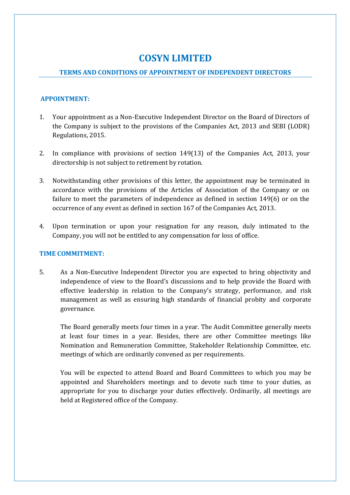# **COSYN LIMITED**

# **TERMS AND CONDITIONS OF APPOINTMENT OF INDEPENDENT DIRECTORS**

# **APPOINTMENT:**

- 1. Your appointment as a Non-Executive Independent Director on the Board of Directors of the Company is subject to the provisions of the Companies Act, 2013 and SEBI (LODR) Regulations, 2015.
- 2. In compliance with provisions of section 149(13) of the Companies Act, 2013, your directorship is not subject to retirement by rotation.
- 3. Notwithstanding other provisions of this letter, the appointment may be terminated in accordance with the provisions of the Articles of Association of the Company or on failure to meet the parameters of independence as defined in section 149(6) or on the occurrence of any event as defined in section 167 of the Companies Act, 2013.
- 4. Upon termination or upon your resignation for any reason, duly intimated to the Company, you will not be entitled to any compensation for loss of office.

# **TIME COMMITMENT:**

5. As a Non-Executive Independent Director you are expected to bring objectivity and independence of view to the Board's discussions and to help provide the Board with effective leadership in relation to the Company's strategy, performance, and risk management as well as ensuring high standards of financial probity and corporate governance.

The Board generally meets four times in a year. The Audit Committee generally meets at least four times in a year. Besides, there are other Committee meetings like Nomination and Remuneration Committee, Stakeholder Relationship Committee, etc. meetings of which are ordinarily convened as per requirements.

You will be expected to attend Board and Board Committees to which you may be appointed and Shareholders meetings and to devote such time to your duties, as appropriate for you to discharge your duties effectively. Ordinarily, all meetings are held at Registered office of the Company.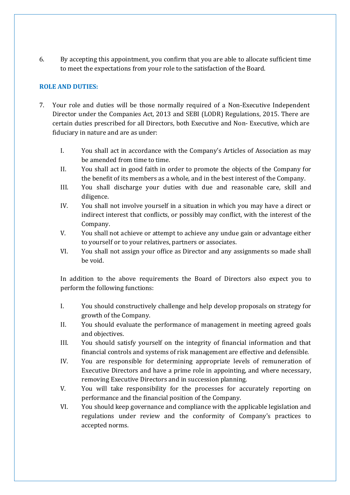6. By accepting this appointment, you confirm that you are able to allocate sufficient time to meet the expectations from your role to the satisfaction of the Board.

# **ROLE AND DUTIES:**

- 7. Your role and duties will be those normally required of a Non-Executive Independent Director under the Companies Act, 2013 and SEBI (LODR) Regulations, 2015. There are certain duties prescribed for all Directors, both Executive and Non- Executive, which are fiduciary in nature and are as under:
	- I. You shall act in accordance with the Company's Articles of Association as may be amended from time to time.
	- II. You shall act in good faith in order to promote the objects of the Company for the benefit of its members as a whole, and in the best interest of the Company.
	- III. You shall discharge your duties with due and reasonable care, skill and diligence.
	- IV. You shall not involve yourself in a situation in which you may have a direct or indirect interest that conflicts, or possibly may conflict, with the interest of the Company.
	- V. You shall not achieve or attempt to achieve any undue gain or advantage either to yourself or to your relatives, partners or associates.
	- VI. You shall not assign your office as Director and any assignments so made shall be void.

In addition to the above requirements the Board of Directors also expect you to perform the following functions:

- I. You should constructively challenge and help develop proposals on strategy for growth of the Company.
- II. You should evaluate the performance of management in meeting agreed goals and objectives.
- III. You should satisfy yourself on the integrity of financial information and that financial controls and systems of risk management are effective and defensible.
- IV. You are responsible for determining appropriate levels of remuneration of Executive Directors and have a prime role in appointing, and where necessary, removing Executive Directors and in succession planning.
- V. You will take responsibility for the processes for accurately reporting on performance and the financial position of the Company.
- VI. You should keep governance and compliance with the applicable legislation and regulations under review and the conformity of Company's practices to accepted norms.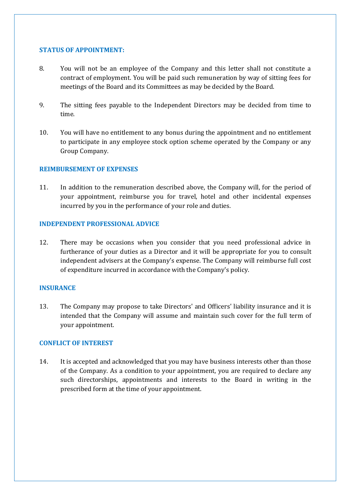## **STATUS OF APPOINTMENT:**

- 8. You will not be an employee of the Company and this letter shall not constitute a contract of employment. You will be paid such remuneration by way of sitting fees for meetings of the Board and its Committees as may be decided by the Board.
- 9. The sitting fees payable to the Independent Directors may be decided from time to time.
- 10. You will have no entitlement to any bonus during the appointment and no entitlement to participate in any employee stock option scheme operated by the Company or any Group Company.

## **REIMBURSEMENT OF EXPENSES**

11. In addition to the remuneration described above, the Company will, for the period of your appointment, reimburse you for travel, hotel and other incidental expenses incurred by you in the performance of your role and duties.

## **INDEPENDENT PROFESSIONAL ADVICE**

12. There may be occasions when you consider that you need professional advice in furtherance of your duties as a Director and it will be appropriate for you to consult independent advisers at the Company's expense. The Company will reimburse full cost of expenditure incurred in accordance with the Company's policy.

## **INSURANCE**

13. The Company may propose to take Directors' and Officers' liability insurance and it is intended that the Company will assume and maintain such cover for the full term of your appointment.

#### **CONFLICT OF INTEREST**

14. It is accepted and acknowledged that you may have business interests other than those of the Company. As a condition to your appointment, you are required to declare any such directorships, appointments and interests to the Board in writing in the prescribed form at the time of your appointment.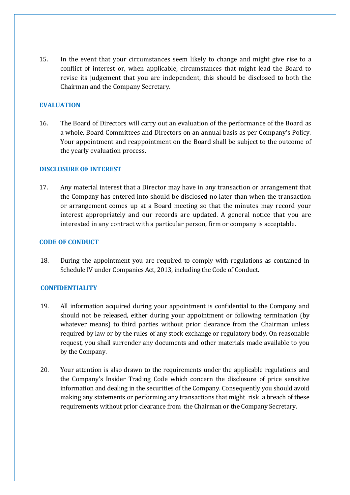15. In the event that your circumstances seem likely to change and might give rise to a conflict of interest or, when applicable, circumstances that might lead the Board to revise its judgement that you are independent, this should be disclosed to both the Chairman and the Company Secretary.

# **EVALUATION**

16. The Board of Directors will carry out an evaluation of the performance of the Board as a whole, Board Committees and Directors on an annual basis as per Company's Policy. Your appointment and reappointment on the Board shall be subject to the outcome of the yearly evaluation process.

# **DISCLOSURE OF INTEREST**

17. Any material interest that a Director may have in any transaction or arrangement that the Company has entered into should be disclosed no later than when the transaction or arrangement comes up at a Board meeting so that the minutes may record your interest appropriately and our records are updated. A general notice that you are interested in any contract with a particular person, firm or company is acceptable.

# **CODE OF CONDUCT**

18. During the appointment you are required to comply with regulations as contained in Schedule IV under Companies Act, 2013, including the Code of Conduct.

# **CONFIDENTIALITY**

- 19. All information acquired during your appointment is confidential to the Company and should not be released, either during your appointment or following termination (by whatever means) to third parties without prior clearance from the Chairman unless required by law or by the rules of any stock exchange or regulatory body. On reasonable request, you shall surrender any documents and other materials made available to you by the Company.
- 20. Your attention is also drawn to the requirements under the applicable regulations and the Company's Insider Trading Code which concern the disclosure of price sensitive information and dealing in the securities of the Company. Consequently you should avoid making any statements or performing any transactions that might risk a breach of these requirements without prior clearance from the Chairman or the Company Secretary.